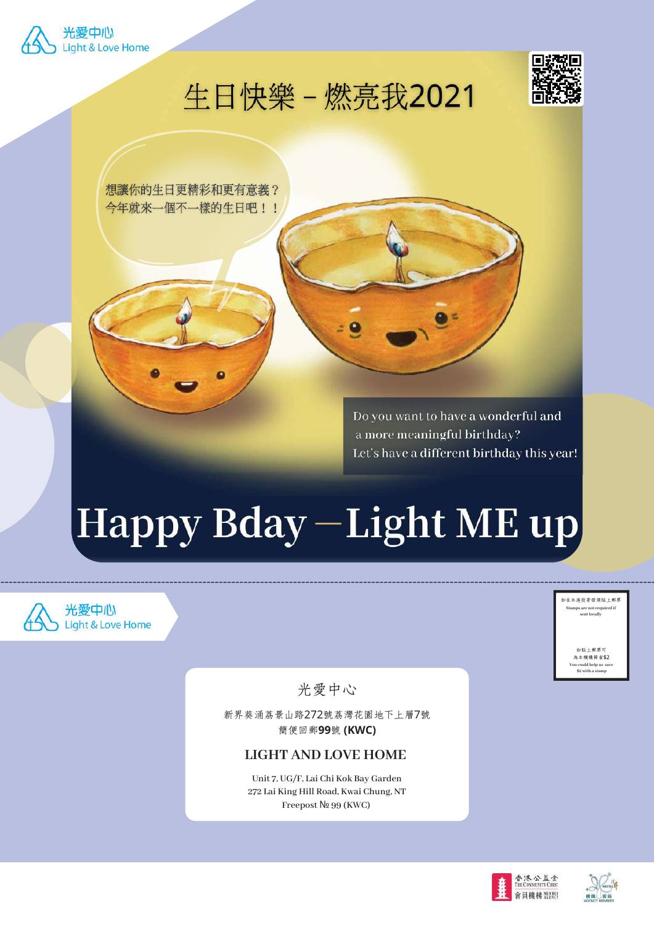

生日快樂 - 燃亮我2021



想讓你的生日更精彩和更有意義? 今年就來一個不一樣的生日吧!!

> Do you want to have a wonderful and a more meaningful birthday? Let's have a different birthday this year!

# Happy Bday-Light ME up



如在本港投寄毋須貼上郵票 **Stamps are not required if sent locally**

> 。<br>加肚上郵票可 為本機構節省\$2

**You could help us save \$2 with a stamp**

光愛中心

新界葵涌荔景山路272號荔灣花園地下上層7號 簡便回郵**99**號 **(KWC)**

# **LIGHT AND LOVE HOME**

**Unit 7, UG/F, Lai Chi Kok Bay Garden 272 Lai King Hill Road, Kwai Chung, NT Freepost** № **99 (KWC)**

![](_page_0_Picture_12.jpeg)

![](_page_0_Picture_13.jpeg)